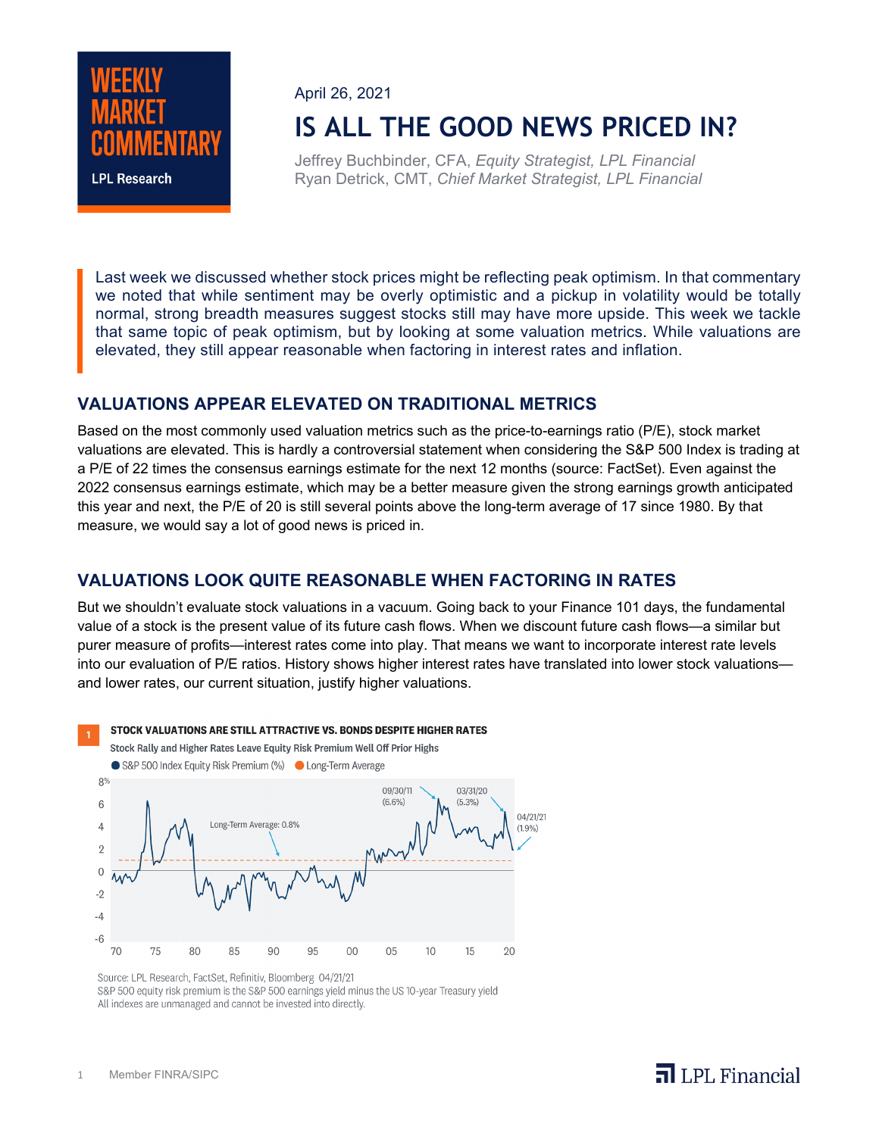

April 26, 2021

# **IS ALL THE GOOD NEWS PRICED IN?**

Jeffrey Buchbinder, CFA, *Equity Strategist, LPL Financial* Ryan Detrick, CMT, *Chief Market Strategist, LPL Financial*

Last week we discussed whether stock prices might be reflecting peak optimism. In that commentary we noted that while sentiment may be overly optimistic and a pickup in volatility would be totally normal, strong breadth measures suggest stocks still may have more upside. This week we tackle that same topic of peak optimism, but by looking at some valuation metrics. While valuations are elevated, they still appear reasonable when factoring in interest rates and inflation.

### **VALUATIONS APPEAR ELEVATED ON TRADITIONAL METRICS**

Based on the most commonly used valuation metrics such as the price-to-earnings ratio (P/E), stock market valuations are elevated. This is hardly a controversial statement when considering the S&P 500 Index is trading at a P/E of 22 times the consensus earnings estimate for the next 12 months (source: FactSet). Even against the 2022 consensus earnings estimate, which may be a better measure given the strong earnings growth anticipated this year and next, the P/E of 20 is still several points above the long-term average of 17 since 1980. By that measure, we would say a lot of good news is priced in.

## **VALUATIONS LOOK QUITE REASONABLE WHEN FACTORING IN RATES**

But we shouldn't evaluate stock valuations in a vacuum. Going back to your Finance 101 days, the fundamental value of a stock is the present value of its future cash flows. When we discount future cash flows—a similar but purer measure of profits—interest rates come into play. That means we want to incorporate interest rate levels into our evaluation of P/E ratios. History shows higher interest rates have translated into lower stock valuations and lower rates, our current situation, justify higher valuations.

#### STOCK VALUATIONS ARE STILL ATTRACTIVE VS. BONDS DESPITE HIGHER RATES



Source: LPL Research, FactSet, Refinitiv, Bloomberg 04/21/21 S&P 500 equity risk premium is the S&P 500 earnings yield minus the US 10-year Treasury yield All indexes are unmanaged and cannot be invested into directly.

## $\overline{\mathbf{a}}$  LPL Financial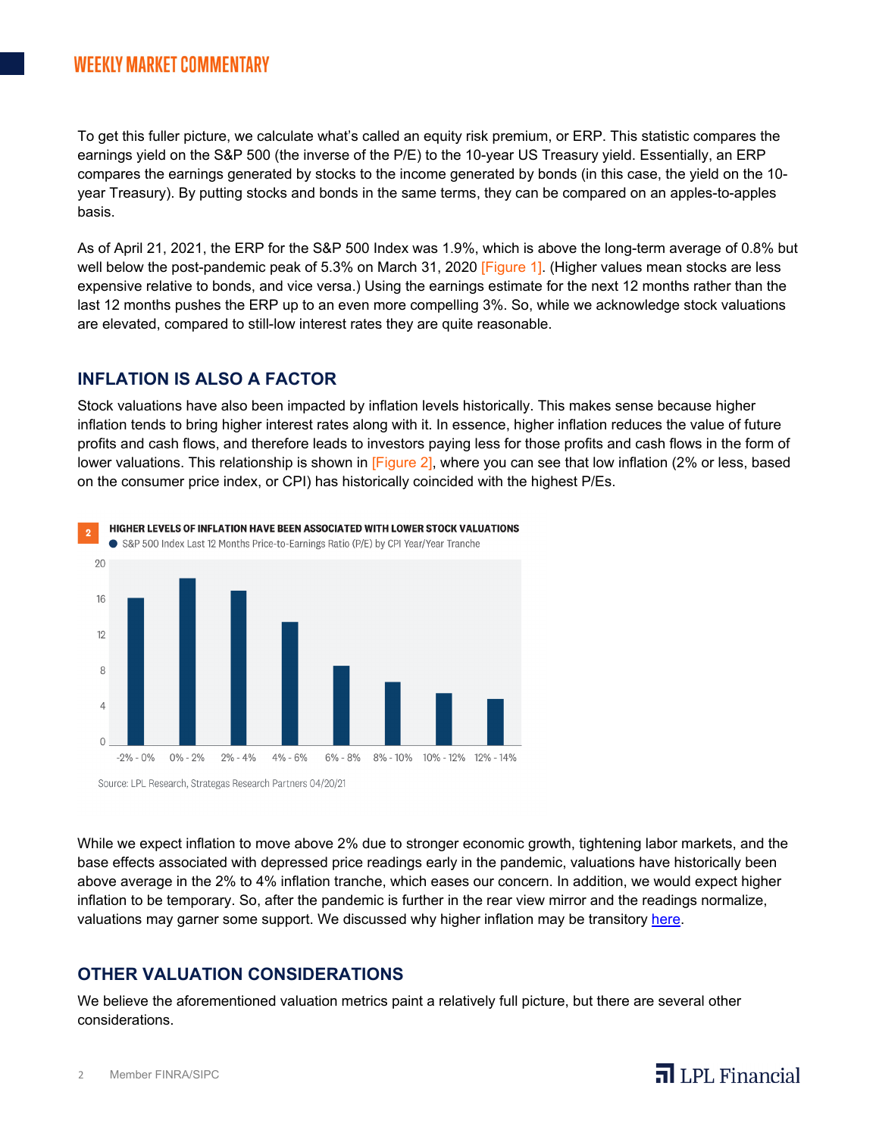## **WEEKLY MARKET COMMENTARY**

To get this fuller picture, we calculate what's called an equity risk premium, or ERP. This statistic compares the earnings yield on the S&P 500 (the inverse of the P/E) to the 10-year US Treasury yield. Essentially, an ERP compares the earnings generated by stocks to the income generated by bonds (in this case, the yield on the 10 year Treasury). By putting stocks and bonds in the same terms, they can be compared on an apples-to-apples basis.

As of April 21, 2021, the ERP for the S&P 500 Index was 1.9%, which is above the long-term average of 0.8% but well below the post-pandemic peak of 5.3% on March 31, 2020 [Figure 1]. (Higher values mean stocks are less expensive relative to bonds, and vice versa.) Using the earnings estimate for the next 12 months rather than the last 12 months pushes the ERP up to an even more compelling 3%. So, while we acknowledge stock valuations are elevated, compared to still-low interest rates they are quite reasonable.

#### **INFLATION IS ALSO A FACTOR**

Stock valuations have also been impacted by inflation levels historically. This makes sense because higher inflation tends to bring higher interest rates along with it. In essence, higher inflation reduces the value of future profits and cash flows, and therefore leads to investors paying less for those profits and cash flows in the form of lower valuations. This relationship is shown in [Figure 2], where you can see that low inflation (2% or less, based on the consumer price index, or CPI) has historically coincided with the highest P/Es.



HIGHER LEVELS OF INFLATION HAVE BEEN ASSOCIATED WITH LOWER STOCK VALUATIONS

Source: LPL Research, Strategas Research Partners 04/20/21

While we expect inflation to move above 2% due to stronger economic growth, tightening labor markets, and the base effects associated with depressed price readings early in the pandemic, valuations have historically been above average in the 2% to 4% inflation tranche, which eases our concern. In addition, we would expect higher inflation to be temporary. So, after the pandemic is further in the rear view mirror and the readings normalize, valuations may garner some support. We discussed why higher inflation may be transitory [here.](https://www.lpl.com/news-media/research-insights/weekly-market-commentary/is-there-an-inflation-crisis.html)

### **OTHER VALUATION CONSIDERATIONS**

We believe the aforementioned valuation metrics paint a relatively full picture, but there are several other considerations.

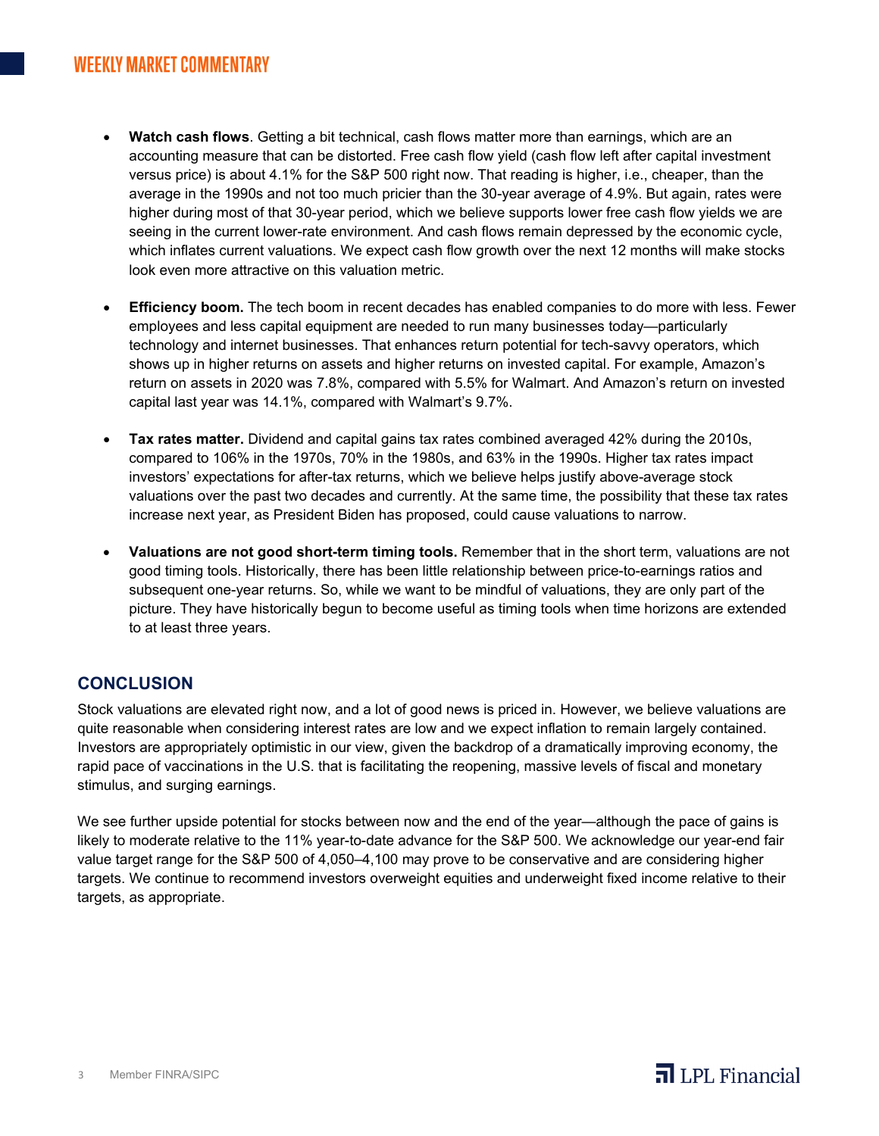- **Watch cash flows**. Getting a bit technical, cash flows matter more than earnings, which are an accounting measure that can be distorted. Free cash flow yield (cash flow left after capital investment versus price) is about 4.1% for the S&P 500 right now. That reading is higher, i.e., cheaper, than the average in the 1990s and not too much pricier than the 30-year average of 4.9%. But again, rates were higher during most of that 30-year period, which we believe supports lower free cash flow yields we are seeing in the current lower-rate environment. And cash flows remain depressed by the economic cycle, which inflates current valuations. We expect cash flow growth over the next 12 months will make stocks look even more attractive on this valuation metric.
- **Efficiency boom.** The tech boom in recent decades has enabled companies to do more with less. Fewer employees and less capital equipment are needed to run many businesses today—particularly technology and internet businesses. That enhances return potential for tech-savvy operators, which shows up in higher returns on assets and higher returns on invested capital. For example, Amazon's return on assets in 2020 was 7.8%, compared with 5.5% for Walmart. And Amazon's return on invested capital last year was 14.1%, compared with Walmart's 9.7%.
- **Tax rates matter.** Dividend and capital gains tax rates combined averaged 42% during the 2010s, compared to 106% in the 1970s, 70% in the 1980s, and 63% in the 1990s. Higher tax rates impact investors' expectations for after-tax returns, which we believe helps justify above-average stock valuations over the past two decades and currently. At the same time, the possibility that these tax rates increase next year, as President Biden has proposed, could cause valuations to narrow.
- **Valuations are not good short-term timing tools.** Remember that in the short term, valuations are not good timing tools. Historically, there has been little relationship between price-to-earnings ratios and subsequent one-year returns. So, while we want to be mindful of valuations, they are only part of the picture. They have historically begun to become useful as timing tools when time horizons are extended to at least three years.

## **CONCLUSION**

Stock valuations are elevated right now, and a lot of good news is priced in. However, we believe valuations are quite reasonable when considering interest rates are low and we expect inflation to remain largely contained. Investors are appropriately optimistic in our view, given the backdrop of a dramatically improving economy, the rapid pace of vaccinations in the U.S. that is facilitating the reopening, massive levels of fiscal and monetary stimulus, and surging earnings.

We see further upside potential for stocks between now and the end of the year—although the pace of gains is likely to moderate relative to the 11% year-to-date advance for the S&P 500. We acknowledge our year-end fair value target range for the S&P 500 of 4,050–4,100 may prove to be conservative and are considering higher targets. We continue to recommend investors overweight equities and underweight fixed income relative to their targets, as appropriate.

## $\overline{\mathbf{a}}$  LPL Financial